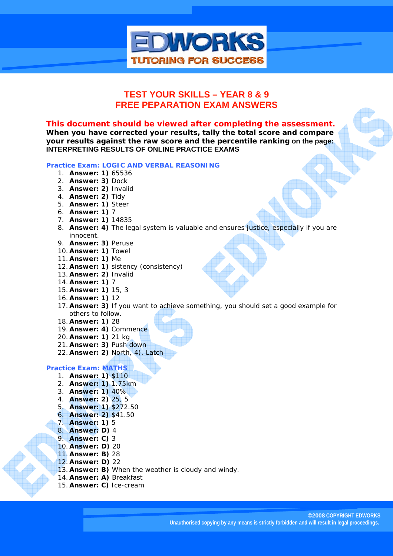

# **TEST YOUR SKILLS – YEAR 8 & 9 FREE PEPARATION EXAM ANSWERS**

### *This document should be viewed after completing the assessment.*

**When you have corrected your results, tally the total score and compare your results against the raw score and the percentile ranking on the page: INTERPRETING RESULTS OF ONLINE PRACTICE EXAMS** 

#### **Practice Exam: LOGIC AND VERBAL REASONING**

- 1. **Answer: 1)** 65536
- 2. **Answer: 3)** Dock
- 3. **Answer: 2)** Invalid
- 4. **Answer: 2)** Tidy
- 5. **Answer: 1)** Steer
- 6. **Answer: 1)** 7
- 7. **Answer: 1)** 14835
- 8. **Answer: 4)** The legal system is valuable and ensures justice, especially if you are innocent.
- 9. **Answer: 3)** Peruse
- 10. **Answer: 1)** Towel
- 11. **Answer: 1)** Me
- 12. **Answer: 1)** sistency (consistency)
- 13. **Answer: 2)** Invalid
- 14. **Answer: 1)** 7
- 15. **Answer: 1)** 15, 3
- 16. **Answer: 1)** 12
- 17. **Answer: 3)** If you want to achieve something, you should set a good example for others to follow.
- 18. **Answer: 1)** 28
- 19. **Answer: 4)** Commence
- 20. **Answer: 1)** 21 kg
- 21. **Answer: 3)** Push down
- 22. **Answer: 2)** North, 4). Latch

#### **Practice Exam: MATHS**

- 1. **Answer: 1)** \$110
- 2. **Answer: 1)** 1.75km
- 3. **Answer: 1)** 40%
- 4. **Answer: 2)** 25, 5
- 5. **Answer: 1)** \$272.50
- 6. **Answer: 2)** \$41.50
- 7. **Answer: 1)** 5
- 8. **Answer: D)** 4
- 9. **Answer: C)** 3
- 10. **Answer: D)** 20
- 11. **Answer: B)** 28
- 12. **Answer: D)** 22
- 13. **Answer: B)** When the weather is cloudy and windy.
- 14. **Answer: A)** Breakfast
- 15. **Answer: C)** Ice-cream